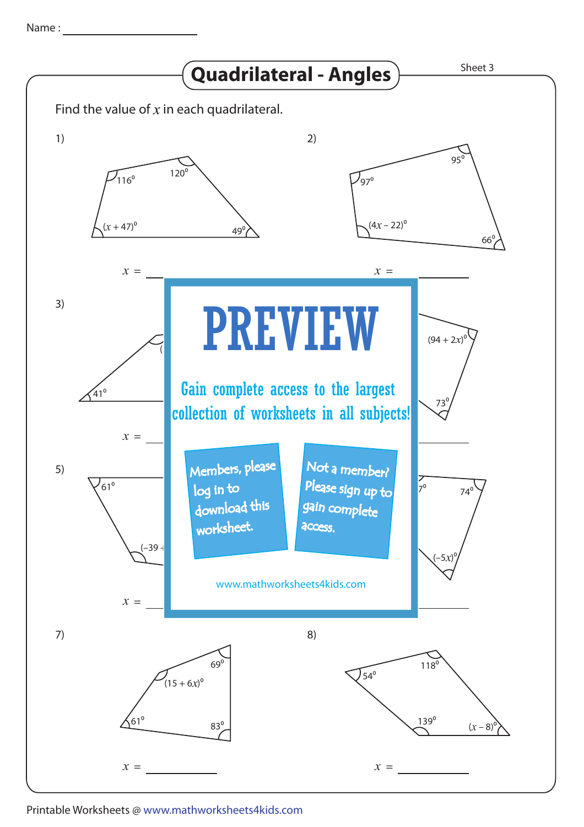